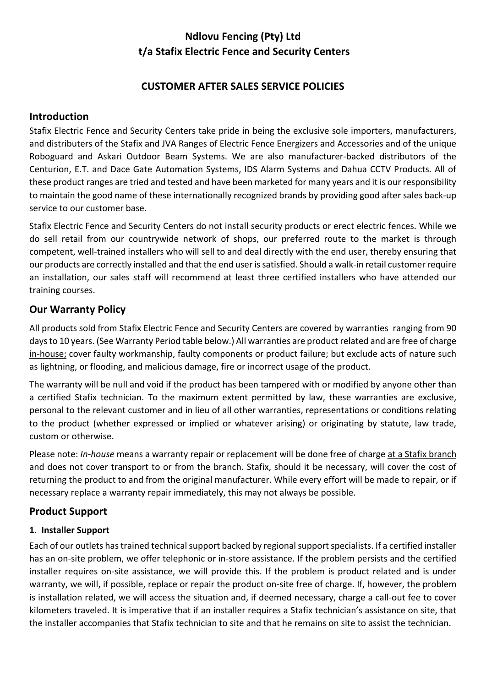# **Ndlovu Fencing (Pty) Ltd t/a Stafix Electric Fence and Security Centers**

## **CUSTOMER AFTER SALES SERVICE POLICIES**

## **Introduction**

Stafix Electric Fence and Security Centers take pride in being the exclusive sole importers, manufacturers, and distributers of the Stafix and JVA Ranges of Electric Fence Energizers and Accessories and of the unique Roboguard and Askari Outdoor Beam Systems. We are also manufacturer‐backed distributors of the Centurion, E.T. and Dace Gate Automation Systems, IDS Alarm Systems and Dahua CCTV Products. All of these product ranges are tried and tested and have been marketed for many years and it is our responsibility to maintain the good name of these internationally recognized brands by providing good after sales back‐up service to our customer base.

Stafix Electric Fence and Security Centers do not install security products or erect electric fences. While we do sell retail from our countrywide network of shops, our preferred route to the market is through competent, well‐trained installers who will sell to and deal directly with the end user, thereby ensuring that our products are correctly installed and that the end user is satisfied. Should a walk‐in retail customer require an installation, our sales staff will recommend at least three certified installers who have attended our training courses.

## **Our Warranty Policy**

All products sold from Stafix Electric Fence and Security Centers are covered by warranties ranging from 90 days to 10 years. (See Warranty Period table below.) All warranties are product related and are free of charge in-house; cover faulty workmanship, faulty components or product failure; but exclude acts of nature such as lightning, or flooding, and malicious damage, fire or incorrect usage of the product.

The warranty will be null and void if the product has been tampered with or modified by anyone other than a certified Stafix technician. To the maximum extent permitted by law, these warranties are exclusive, personal to the relevant customer and in lieu of all other warranties, representations or conditions relating to the product (whether expressed or implied or whatever arising) or originating by statute, law trade, custom or otherwise.

Please note: *In‐house* means a warranty repair or replacement will be done free of charge at a Stafix branch and does not cover transport to or from the branch. Stafix, should it be necessary, will cover the cost of returning the product to and from the original manufacturer. While every effort will be made to repair, or if necessary replace a warranty repair immediately, this may not always be possible.

## **Product Support**

#### **1. Installer Support**

Each of our outlets has trained technical support backed by regional support specialists. If a certified installer has an on‐site problem, we offer telephonic or in‐store assistance. If the problem persists and the certified installer requires on-site assistance, we will provide this. If the problem is product related and is under warranty, we will, if possible, replace or repair the product on-site free of charge. If, however, the problem is installation related, we will access the situation and, if deemed necessary, charge a call‐out fee to cover kilometers traveled. It is imperative that if an installer requires a Stafix technician's assistance on site, that the installer accompanies that Stafix technician to site and that he remains on site to assist the technician.